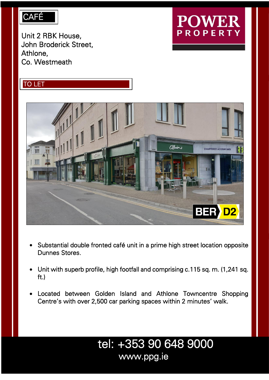### CAFÉ

Unit 2 RBK House, John Broderick Street, Athlone, Co. Westmeath

# DWE. **PROPERTY**





- Substantial double fronted café unit in a prime high street location opposite Dunnes Stores.
- Unit with superb profile, high footfall and comprising c.115 sq. m. (1,241 sq. ft.)
- Located between Golden Island and Athlone Towncentre Shopping Centre's with over 2,500 car parking spaces within 2 minutes' walk.

## tel: +353 90 648 9000 www.ppg.ie